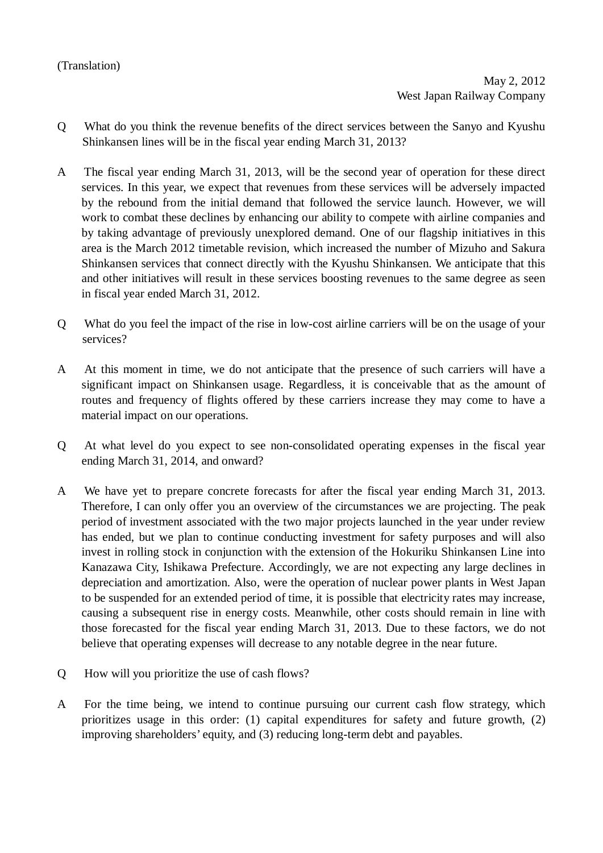## (Translation)

- Q What do you think the revenue benefits of the direct services between the Sanyo and Kyushu Shinkansen lines will be in the fiscal year ending March 31, 2013?
- A The fiscal year ending March 31, 2013, will be the second year of operation for these direct services. In this year, we expect that revenues from these services will be adversely impacted by the rebound from the initial demand that followed the service launch. However, we will work to combat these declines by enhancing our ability to compete with airline companies and by taking advantage of previously unexplored demand. One of our flagship initiatives in this area is the March 2012 timetable revision, which increased the number of Mizuho and Sakura Shinkansen services that connect directly with the Kyushu Shinkansen. We anticipate that this and other initiatives will result in these services boosting revenues to the same degree as seen in fiscal year ended March 31, 2012.
- Q What do you feel the impact of the rise in low-cost airline carriers will be on the usage of your services?
- A At this moment in time, we do not anticipate that the presence of such carriers will have a significant impact on Shinkansen usage. Regardless, it is conceivable that as the amount of routes and frequency of flights offered by these carriers increase they may come to have a material impact on our operations.
- Q At what level do you expect to see non-consolidated operating expenses in the fiscal year ending March 31, 2014, and onward?
- A We have yet to prepare concrete forecasts for after the fiscal year ending March 31, 2013. Therefore, I can only offer you an overview of the circumstances we are projecting. The peak period of investment associated with the two major projects launched in the year under review has ended, but we plan to continue conducting investment for safety purposes and will also invest in rolling stock in conjunction with the extension of the Hokuriku Shinkansen Line into Kanazawa City, Ishikawa Prefecture. Accordingly, we are not expecting any large declines in depreciation and amortization. Also, were the operation of nuclear power plants in West Japan to be suspended for an extended period of time, it is possible that electricity rates may increase, causing a subsequent rise in energy costs. Meanwhile, other costs should remain in line with those forecasted for the fiscal year ending March 31, 2013. Due to these factors, we do not believe that operating expenses will decrease to any notable degree in the near future.
- Q How will you prioritize the use of cash flows?
- A For the time being, we intend to continue pursuing our current cash flow strategy, which prioritizes usage in this order: (1) capital expenditures for safety and future growth, (2) improving shareholders' equity, and (3) reducing long-term debt and payables.